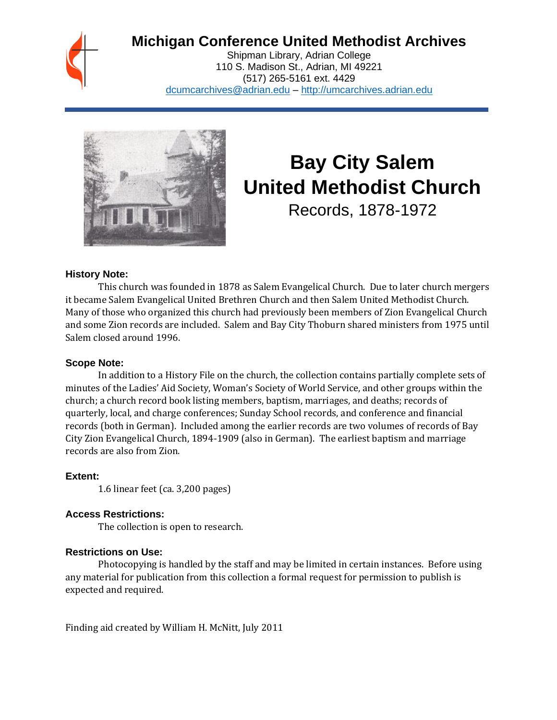

# **Michigan Conference United Methodist Archives**

Shipman Library, Adrian College 110 S. Madison St., Adrian, MI 49221 (517) 265-5161 ext. 4429 [dcumcarchives@adrian.edu](mailto:dcumcarchives@adrian.edu) – [http://umcarchives.adrian.edu](http://umcarchives.adrian.edu/)



# **Bay City Salem United Methodist Church**

Records, 1878-1972

#### **History Note:**

This church was founded in 1878 as Salem Evangelical Church. Due to later church mergers it became Salem Evangelical United Brethren Church and then Salem United Methodist Church. Many of those who organized this church had previously been members of Zion Evangelical Church and some Zion records are included. Salem and Bay City Thoburn shared ministers from 1975 until Salem closed around 1996.

#### **Scope Note:**

In addition to a History File on the church, the collection contains partially complete sets of minutes of the Ladies' Aid Society, Woman's Society of World Service, and other groups within the church; a church record book listing members, baptism, marriages, and deaths; records of quarterly, local, and charge conferences; Sunday School records, and conference and financial records (both in German). Included among the earlier records are two volumes of records of Bay City Zion Evangelical Church, 1894-1909 (also in German). The earliest baptism and marriage records are also from Zion.

#### **Extent:**

1.6 linear feet (ca. 3,200 pages)

#### **Access Restrictions:**

The collection is open to research.

#### **Restrictions on Use:**

Photocopying is handled by the staff and may be limited in certain instances. Before using any material for publication from this collection a formal request for permission to publish is expected and required.

Finding aid created by William H. McNitt, July 2011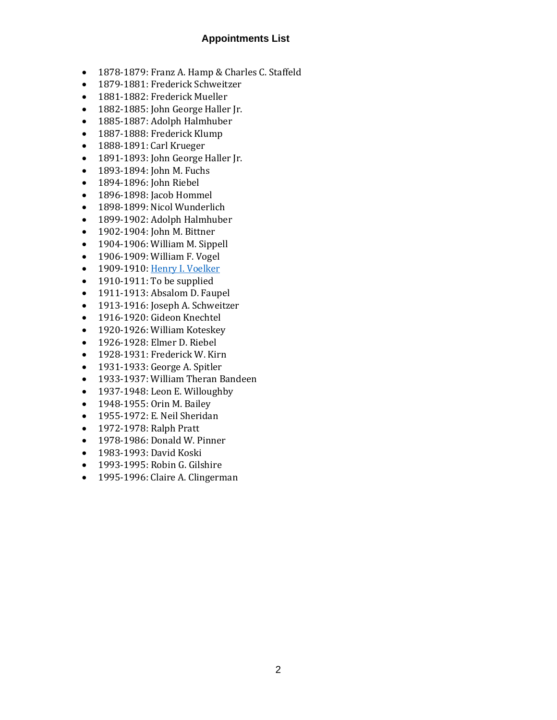# **Appointments List**

- 1878-1879: Franz A. Hamp & Charles C. Staffeld
- 1879-1881: Frederick Schweitzer
- 1881-1882: Frederick Mueller
- 1882-1885: John George Haller Jr.
- 1885-1887: Adolph Halmhuber
- 1887-1888: Frederick Klump
- 1888-1891: Carl Krueger
- 1891-1893: John George Haller Jr.
- 1893-1894: John M. Fuchs
- 1894-1896: John Riebel
- 1896-1898: Jacob Hommel
- 1898-1899: Nicol Wunderlich
- 1899-1902: Adolph Halmhuber
- 1902-1904: John M. Bittner
- 1904-1906: William M. Sippell
- 1906-1909: William F. Vogel
- 1909-1910[: Henry I. Voelker](http://umcarchives.adrian.edu/clergy/voelkerhi.php)
- 1910-1911: To be supplied
- 1911-1913: Absalom D. Faupel
- 1913-1916: Joseph A. Schweitzer
- 1916-1920: Gideon Knechtel
- 1920-1926: William Koteskey
- 1926-1928: Elmer D. Riebel
- 1928-1931: Frederick W. Kirn
- 1931-1933: George A. Spitler
- 1933-1937: William Theran Bandeen
- 1937-1948: Leon E. Willoughby
- 1948-1955: Orin M. Bailey
- 1955-1972: E. Neil Sheridan
- 1972-1978: Ralph Pratt
- 1978-1986: Donald W. Pinner
- 1983-1993: David Koski
- 1993-1995: Robin G. Gilshire
- 1995-1996: Claire A. Clingerman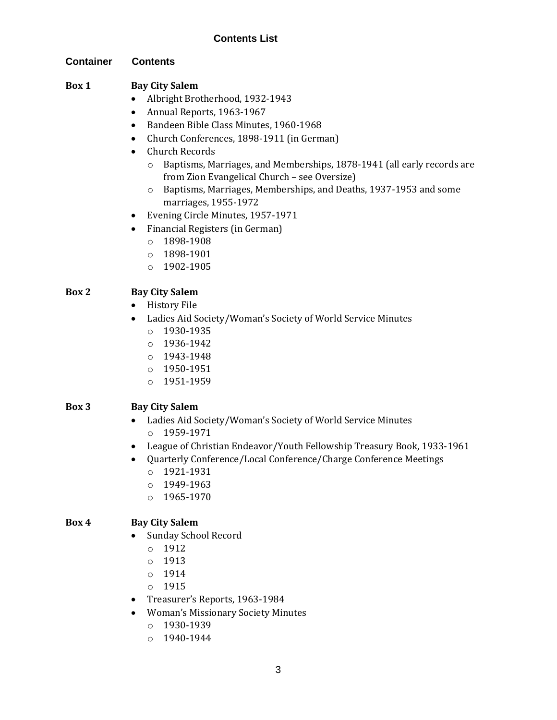# **Contents List**

#### **Container Contents**

## **Box 1 Bay City Salem**

- Albright Brotherhood, 1932-1943
- Annual Reports, 1963-1967
- Bandeen Bible Class Minutes, 1960-1968
- Church Conferences, 1898-1911 (in German)
- Church Records
	- o Baptisms, Marriages, and Memberships, 1878-1941 (all early records are from Zion Evangelical Church – see Oversize)
	- o Baptisms, Marriages, Memberships, and Deaths, 1937-1953 and some marriages, 1955-1972
- Evening Circle Minutes, 1957-1971
- Financial Registers (in German)
	- o 1898-1908
	- o 1898-1901
	- o 1902-1905

# **Box 2 Bay City Salem**

- History File
- Ladies Aid Society/Woman's Society of World Service Minutes
	- o 1930-1935
	- o 1936-1942
	- o 1943-1948
	- o 1950-1951
	- o 1951-1959

#### **Box 3 Bay City Salem**

- Ladies Aid Society/Woman's Society of World Service Minutes o 1959-1971
- League of Christian Endeavor/Youth Fellowship Treasury Book, 1933-1961
- Quarterly Conference/Local Conference/Charge Conference Meetings
	- o 1921-1931
	- o 1949-1963
	- o 1965-1970

#### **Box 4 Bay City Salem**

- Sunday School Record
	- o 1912
	- o 1913
	- o 1914
	- o 1915
- Treasurer's Reports, 1963-1984
- Woman's Missionary Society Minutes
	- o 1930-1939
	- o 1940-1944